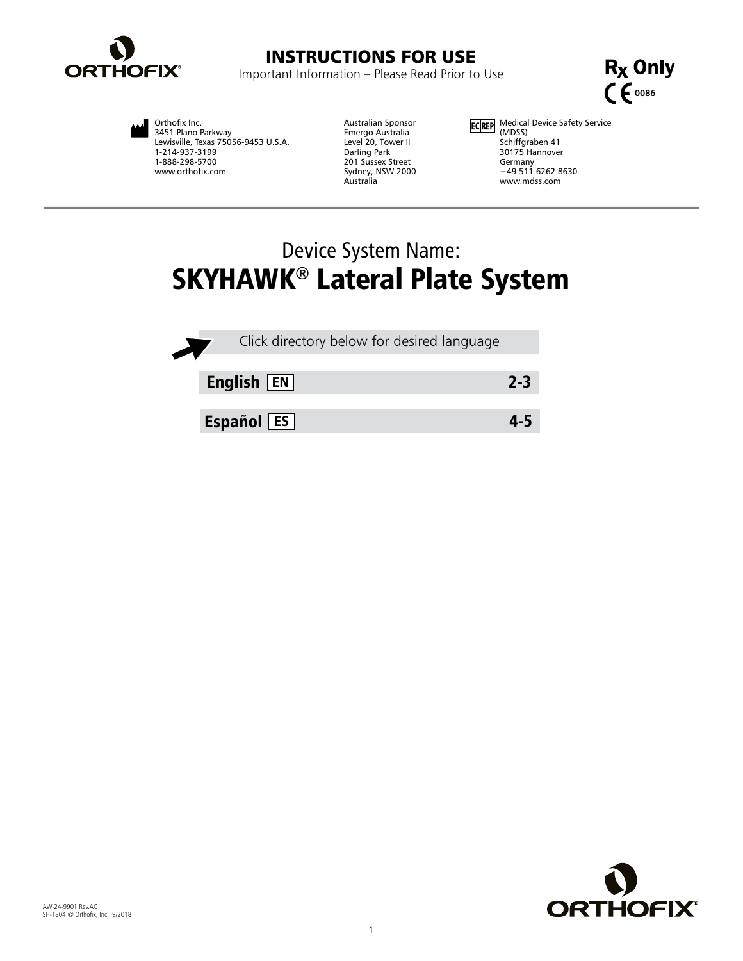

# INSTRUCTIONS FOR USE

Important Information – Please Read Prior to Use



Orthofix Inc. 3451 Plano Parkway Lewisville, Texas 75056-9453 U.S.A. 1-214-937-3199 1-888-298-5700 www.orthofix.com

Australian Sponsor Emergo Australia Level 20, Tower II Darling Park 201 Sussex Street Sydney, NSW 2000 Australia

Medical Device Safety Service (MDSS) Schiffgraben 41 30175 Hannover Germany +49 511 6262 8630 www.mdss.com

# Device System Name: SKYHAWK® Lateral Plate System

| Click directory below for desired language |         |
|--------------------------------------------|---------|
| English $F$                                | $2 - 3$ |
| <b>Español</b> ES                          |         |

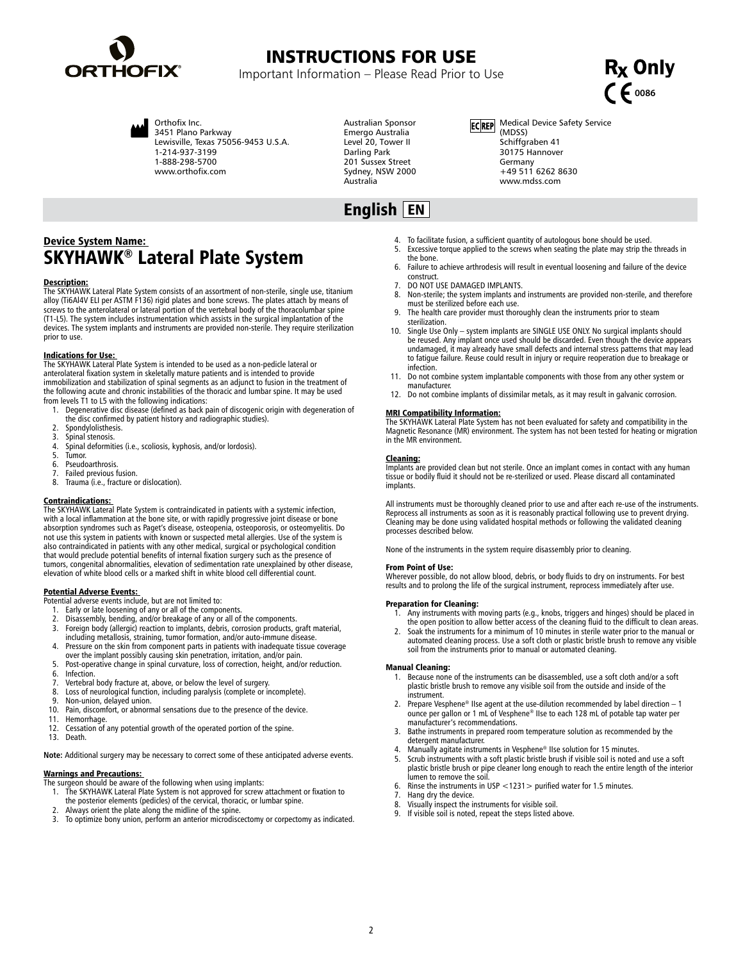<span id="page-1-0"></span>

## INSTRUCTIONS FOR USE

Important Information – Please Read Prior to Use



Orthofix Inc. 3451 Plano Parkway

Lewisville, Texas 75056-9453 U.S.A. 1-214-937-3199 1-888-298-5700 www.orthofix.com

Australian Sponsor Emergo Australia Level 20, Tower II Darling Park 201 Sussex Street Sydney, NSW 2000 Australia

English EN

ECREP Medical Device Safety Service (MDSS) Schiffgraben 41 30175 Hannover Germany +49 511 6262 8630 www.mdss.com

## Device System Name: SKYHAWK® Lateral Plate System

### Description:

The SKYHAWK Lateral Plate System consists of an assortment of non-sterile, single use, titanium alloy (Ti6Al4V ELI per ASTM F136) rigid plates and bone screws. The plates attach by means of screws to the anterolateral or lateral portion of the vertebral body of the thoracolumbar spine (T1-L5). The system includes instrumentation which assists in the surgical implantation of the devices. The system implants and instruments are provided non-sterile. They require sterilization prior to use.

## Indications for Use:

The SKYHAWK Lateral Plate System is intended to be used as a non-pedicle lateral or anterolateral fixation system in skeletally mature patients and is intended to provide immobilization and stabilization of spinal segments as an adjunct to fusion in the treatment of the following acute and chronic instabilities of the thoracic and lumbar spine. It may be used from levels T1 to L5 with the following indications:

- 1. Degenerative disc disease (defined as back pain of discogenic origin with degeneration of
- the disc confirmed by patient history and radiographic studies).
- 2. Spondylolisthesis.<br>3. Spinal stenosis.
- Spinal stenosis.
- 4. Spinal deformities (i.e., scoliosis, kyphosis, and/or lordosis).
- 5. Tumor.<br>6. Pseudo
- 6. Pseudoarthrosis.<br>7. Failed previous f
- Failed previous fusion. 8. Trauma (i.e., fracture or dislocation).

**Contraindications:**<br>The SKYHAWK Lateral Plate System is contraindicated in patients with a systemic infection, with a local inflammation at the bone site, or with rapidly progressive joint disease or bone absorption syndromes such as Paget's disease, osteopenia, osteoporosis, or osteomyelitis. Do not use this system in patients with known or suspected metal allergies. Use of the system is<br>also contraindicated in patients with any other medical, surgical or psychological condition<br>that would preclude potential benef tumors, congenital abnormalities, elevation of sedimentation rate unexplained by other disease, elevation of white blood cells or a marked shift in white blood cell differential count.

- 
- 
- **Potential Adverse Events:**<br>Potential adverse events include, but are not limited to:<br>1. Early or late loosening of any or all of the components.<br>2. Disassembly, bending, and/or breakage of any or all of the components. 3. Foreign body (allergic) reaction to implants, debris, corrosion products, graft material, including metallosis, straining, tumor formation, and/or auto-immune disease.
- 4. Pressure on the skin from component parts in patients with inadequate tissue coverage over the implant possibly causing skin penetration, irritation, and/or pain.
- 5. Post-operative change in spinal curvature, loss of correction, height, and/or reduction.
- 6. Infection.<br>7. Vertebral
- 7. Vertebral body fracture at, above, or below the level of surgery.<br>8. Loss of neurological function, including paralysis (complete or in 8. Loss of neurological function, including paralysis (complete or incomplete).<br>9. Non-union, delayed union
- 9. Non-union, delayed union.<br>10. Pain. discomfort. or abnorr
- 10. Pain, discomfort, or abnormal sensations due to the presence of the device.<br>11. Hemorrhage
- 11. Hemorrhage.<br>12. Cessation of 12. Cessation of any potential growth of the operated portion of the spine.<br>13. Death.
- Death.

**Note:** Additional surgery may be necessary to correct some of these anticipated adverse events.

## Warnings and Precautions:

- **The surgeon should be aware of the following when using implants:**<br>The surgeon should be aware of the following when using implants:<br>1. The SKYHAWK Lateral Plate System is not approved for screw
- 1. The SKYHAWK Lateral Plate System is not approved for screw attachment or fixation to
- the posterior elements (pedicles) of the cervical, thoracic, or lumbar spine.
- 2. Always orient the plate along the midline of the spine.<br>3. To ontimize hony union, perform an anterior microdisc
- 3. To optimize bony union, perform an anterior microdiscectomy or corpectomy as indicated.
- 4. To facilitate fusion, a sufficient quantity of autologous bone should be used.<br>5. Excessive torque applied to the screws when seating the plate may strip the
- Excessive torque applied to the screws when seating the plate may strip the threads in the bone.
- 6. Failure to achieve arthrodesis will result in eventual loosening and failure of the device construct.
- 7. DO NOT USE DAMAGED IMPLANTS.<br>8. Non-sterile: the system implants and
- 8. Non-sterile; the system implants and instruments are provided non-sterile, and therefore must be sterilized before each use.
- 9. The health care provider must thoroughly clean the instruments prior to steam sterilization.
- 10. Single Use Only system implants are SINGLE USE ONLY. No surgical implants should be reused. Any implant once used should be discarded. Even though the device appears undamaged, it may already have small defects and internal stress patterns that may lead to fatigue failure. Reuse could result in injury or require reoperation due to breakage or infection.
- 11. Do not combine system implantable components with those from any other system or manufacturer.
- 12. Do not combine implants of dissimilar metals, as it may result in galvanic corrosion.

### MRI Compatibility Information:

The SKYHAWK Lateral Plate System has not been evaluated for safety and compatibility in the Magnetic Resonance (MR) environment. The system has not been tested for heating or migration in the MR environment.

### Cleaning:

Implants are provided clean but not sterile. Once an implant comes in contact with any human tissue or bodily fluid it should not be re-sterilized or used. Please discard all contaminated implants.

All instruments must be thoroughly cleaned prior to use and after each re-use of the instruments. Reprocess all instruments as soon as it is reasonably practical following use to prevent drying. Cleaning may be done using validated hospital methods or following the validated cleaning processes described below.

None of the instruments in the system require disassembly prior to cleaning.

### From Point of Use:

Wherever possible, do not allow blood, debris, or body fluids to dry on instruments. For best results and to prolong the life of the surgical instrument, reprocess immediately after use.

### Preparation for Cleaning:

- 1. Any instruments with moving parts (e.g., knobs, triggers and hinges) should be placed in the open position to allow better access of the cleaning fluid to the difficult to clean areas.
- 2. Soak the instruments for a minimum of 10 minutes in sterile water prior to the manual or automated cleaning process. Use a soft cloth or plastic bristle brush to remove any visible soil from the instruments prior to manual or automated cleaning.

- Manual Cleaning: 1. Because none of the instruments can be disassembled, use a soft cloth and/or a soft plastic bristle brush to remove any visible soil from the outside and inside of the instrument.
- 2. Prepare Vesphene<sup>®</sup> IIse agent at the use-dilution recommended by label direction  $-1$ ounce per gallon or 1 mL of Vesphene® IIse to each 128 mL of potable tap water per manufacturer's recommendations.
- 3. Bathe instruments in prepared room temperature solution as recommended by the detergent manufacturer.
- 4. Manually agitate instruments in Vesphene® IIse solution for 15 minutes.<br>5. Scrub instruments with a soft plastic bristle brush if visible soil is noted
- 5. Scrub instruments with a soft plastic bristle brush if visible soil is noted and use a soft plastic bristle brush or pipe cleaner long enough to reach the entire length of the interior lumen to remove the soil.
- 6. Rinse the instruments in USP <1231> purified water for 1.5 minutes.
- 7. Hang dry the device.<br>8. Visually inspect the in
- 8. Visually inspect the instruments for visible soil.
- If visible soil is noted, repeat the steps listed above.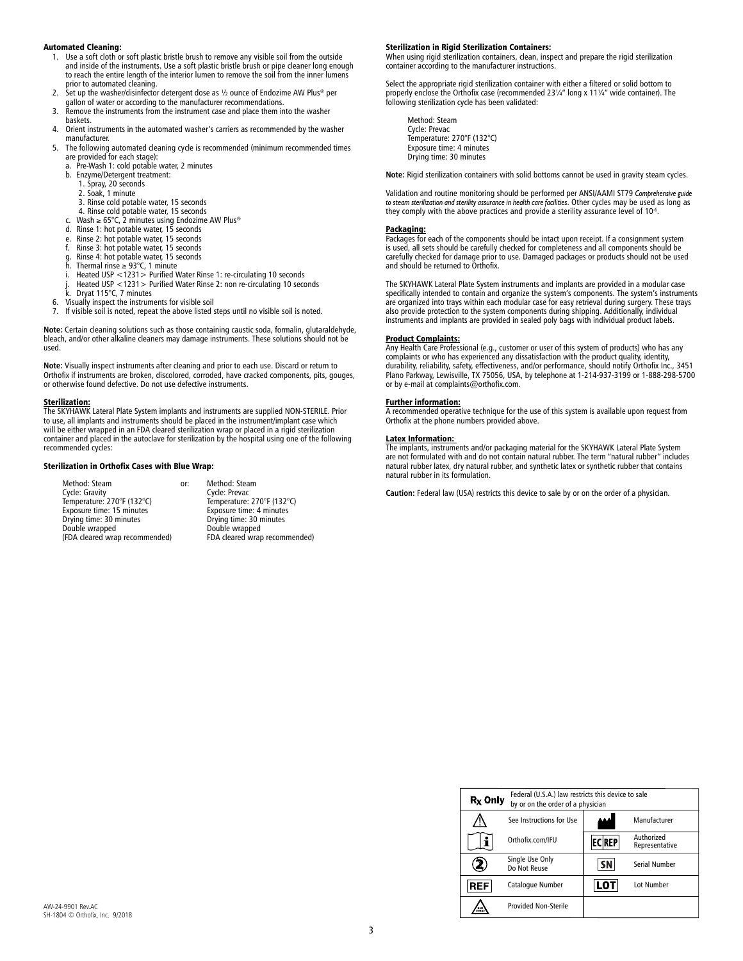### Automated Cleaning:

- 1. Use a soft cloth or soft plastic bristle brush to remove any visible soil from the outside and inside of the instruments. Use a soft plastic bristle brush or pipe cleaner long enough to reach the entire length of the interior lumen to remove the soil from the inner lumens prior to automated cleaning. 2. Set up the washer/disinfector detergent dose as ½ ounce of Endozime AW Plus® per
- 
- gallon of water or according to the manufacturer recommendations. 3. Remove the instruments from the instrument case and place them into the washer
- baskets.
- 4. Orient instruments in the automated washer's carriers as recommended by the washer manufacturer.
- 5. The following automated cleaning cycle is recommended (minimum recommended times are provided for each stage):<br>a Pre-Wash 1: cold potable
	- Pre-Wash 1: cold potable water, 2 minutes
	- b. Enzyme/Detergent treatment: 1. Spray, 20 seconds 2. Soak, 1 minute
		-
		-
		- 3. Rinse cold potable water, 15 seconds 4. Rinse cold potable water, 15 seconds
	- c. Wash ≥ 65°C, 2 minutes using Endozime AW Plus®
	- d. Rinse 1: hot potable water, 15 seconds
	-
	- e. Rinse 2: hot potable water, 15 seconds f. Rinse 3: hot potable water, 15 seconds
	- g. Rinse 4: hot potable water, 15 seconds<br>h. Thermal rinse  $\geq 93^{\circ}$ C, 1 minute
	- Thermal rinse  $\geq 93^{\circ}$ C, 1 minute
	- i. Heated USP <1231> Purified Water Rinse 1: re-circulating 10 seconds
- j. Heated USP <1231> Purified Water Rinse 2: non re-circulating 10 seconds k. Dryat 115°C, 7 minutes 6. Visually inspect the instruments for visible soil
	-
- 
- 7. If visible soil is noted, repeat the above listed steps until no visible soil is noted.

**Note:** Certain cleaning solutions such as those containing caustic soda, formalin, glutaraldehyde, bleach, and/or other alkaline cleaners may damage instruments. These solutions should not be used.

**Note:** Visually inspect instruments after cleaning and prior to each use. Discard or return to Orthofix if instruments are broken, discolored, corroded, have cracked components, pits, gouges, or otherwise found defective. Do not use defective instruments.

**<u>Sterilization:</u>**<br>The SKYHAWK Lateral Plate System implants and instruments are supplied NON-STERILE. Prior to use, all implants and instruments should be placed in the instrument/implant case which will be either wrapped in an FDA cleared sterilization wrap or placed in a rigid sterilization container and placed in the autoclave for sterilization by the hospital using one of the following recommended cycles:

### Sterilization in Orthofix Cases with Blue Wrap:

Method: Steam **1988 comes comes comes for the Method: Steam**<br>
Cycle: Gravity **Cycle: Prevac** Cycle: Gravity Cycle: Prevac<br>
Temperature: 270°F (132°C) Temperature: 270°F (132°C) Temperature: 270°F (132°C)<br>Exposure time: 15 minutes<br>Drying time: 30 minutes Texposure time: 30 minutes Exposure time: 15 minutes Exposure time: 4 minutes Drying time: 30 minutes Drying time: 30 minutes Double wrapped **Double wrapped** Double wrapped<br>(FDA cleared wrap recommended) FDA cleared wrap recommended) (FDA cleared wrap recommended)

### Sterilization in Rigid Sterilization Containers:

When using rigid sterilization containers, clean, inspect and prepare the rigid sterilization container according to the manufacturer instructions.

Select the appropriate rigid sterilization container with either a filtered or solid bottom to properly enclose the Orthofix case (recommended 23¼" long x 11¼" wide container). The following sterilization cycle has been validated:

Method: Steam Cycle: Prevac Temperature: 270°F (132°C) Exposure time: 4 minutes Drying time: 30 minutes

**Note:** Rigid sterilization containers with solid bottoms cannot be used in gravity steam cycles.

Validation and routine monitoring should be performed per ANSI/AAMI ST79 *Comprehensive guide to steam sterilization and sterility assurance in health care facilities*. Other cycles may be used as long as they comply with the above practices and provide a sterility assurance level of 10<sup>-6</sup>.

### Packaging:

Packages for each of the components should be intact upon receipt. If a consignment system is used, all sets should be carefully checked for completeness and all components should be carefully checked for damage prior to use. Damaged packages or products should not be used and should be returned to Orthofix.

The SKYHAWK Lateral Plate System instruments and implants are provided in a modular case specifically intended to contain and organize the system's components. The system's instruments are organized into trays within each modular case for easy retrieval during surgery. These trays also provide protection to the system components during shipping. Additionally, individual instruments and implants are provided in sealed poly bags with individual product labels.

### Product Complaints:

Any Health Care Professional (e.g., customer or user of this system of products) who has any complaints or who has experienced any dissatisfaction with the product quality, identity, durability, reliability, safety, effectiveness, and/or performance, should notify Orthofix Inc., 3451 Plano Parkway, Lewisville, TX 75056, USA, by telephone at 1-214-937-3199 or 1-888-298-5700 or by e-mail at complaints@orthofix.com.

**Further information:**<br>A recommended operative technique for the use of this system is available upon request from<br>Orthofix at the phone numbers provided above.

### Latex Information:

The implants, instruments and/or packaging material for the SKYHAWK Lateral Plate System are not formulated with and do not contain natural rubber. The term "natural rubber" includes natural rubber latex, dry natural rubber, and synthetic latex or synthetic rubber that contains natural rubber in its formulation.

**Caution:** Federal law (USA) restricts this device to sale by or on the order of a physician.

| $RX$ Only  | Federal (U.S.A.) law restricts this device to sale<br>by or on the order of a physician |              |                              |
|------------|-----------------------------------------------------------------------------------------|--------------|------------------------------|
|            | See Instructions for Use                                                                |              | Manufacturer                 |
|            | Orthofix.com/IFU                                                                        | <b>ECREP</b> | Authorized<br>Representative |
| z          | Single Use Only<br>Do Not Reuse                                                         | SΝ           | Serial Number                |
| <b>REF</b> | Catalogue Number                                                                        |              | <b>Lot Number</b>            |
| NON        | <b>Provided Non-Sterile</b>                                                             |              |                              |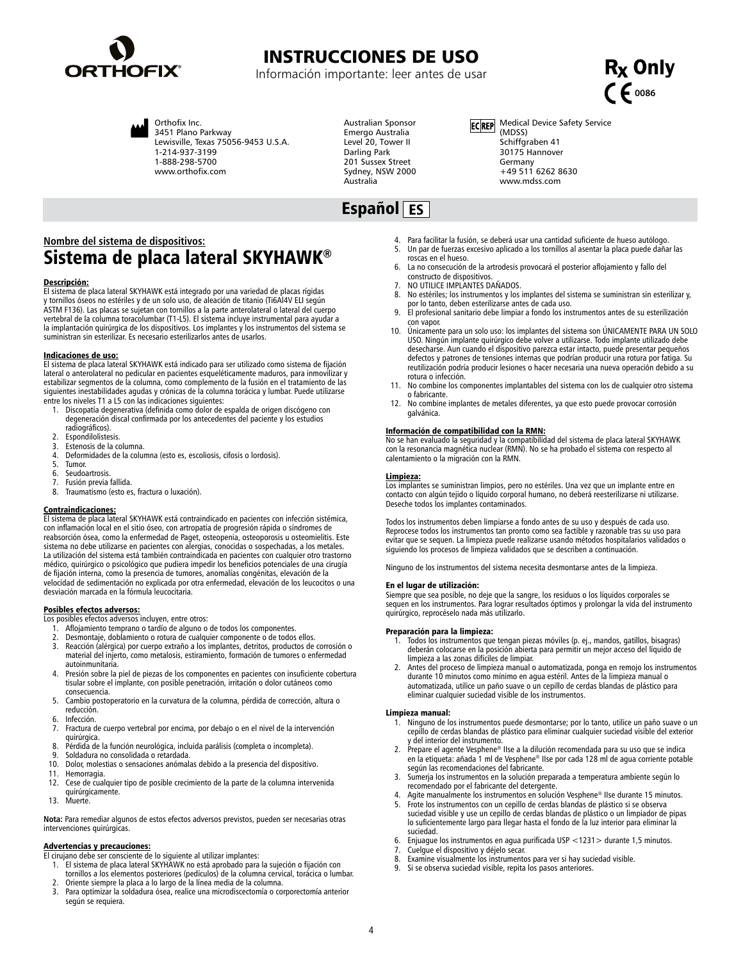<span id="page-3-0"></span>

## INSTRUCCIONES DE USO

Información importante: leer antes de usar



Orthofix Inc. 3451 Plano Parkway

Lewisville, Texas 75056-9453 U.S.A. 1-214-937-3199 1-888-298-5700 www.orthofix.com

Australian Sponsor Emergo Australia Level 20, Tower II Darling Park 201 Sussex Street Sydney, NSW 2000 Australia

ECREP Medical Device Safety Service (MDSS) Schiffgraben 41 30175 Hannover Germany +49 511 6262 8630 www.mdss.com

## Español ES

## **Nombre del sistema de dispositivos:** Sistema de placa lateral SKYHAWK®

### Descripción:

El sistema de placa lateral SKYHAWK está integrado por una variedad de placas rígidas y tornillos óseos no estériles y de un solo uso, de aleación de titanio (Ti6Al4V ELI según ASTM F136). Las placas se sujetan con tornillos a la parte anterolateral o lateral del cuerpo vertebral de la columna toracolumbar (T1-L5). El sistema incluye instrumental para ayudar a la implantación quirúrgica de los dispositivos. Los implantes y los instrumentos del sistema se suministran sin esterilizar. Es necesario esterilizarlos antes de usarlos.

### Indicaciones de uso:

El sistema de placa lateral SKYHAWK está indicado para ser utilizado como sistema de fijación lateral o anterolateral no pedicular en pacientes esqueléticamente maduros, para inmovilizar y estabilizar segmentos de la columna, como complemento de la fusión en el tratamiento de las siguientes inestabilidades agudas y crónicas de la columna torácica y lumbar. Puede utilizarse entre los niveles T1 a L5 con las indicaciones siguientes:

- 1. Discopatía degenerativa (definida como dolor de espalda de origen discógeno con degeneración discal confirmada por los antecedentes del paciente y los estudios radiográficos).
- 2. Espondilolistesis.
- 3. Estenosis de la columna.
- 4. Deformidades de la columna (esto es, escoliosis, cifosis o lordosis).
- 5. Tumor.<br>6. Seudo
- 6. Seudoartrosis<br>7. Eusión previa
- 7. Fusión previa fallida.<br>8. Traumatismo (esto es
- Traumatismo (esto es, fractura o luxación).

### Contraindicaciones:

El sistema de placa lateral SKYHAWK está contraindicado en pacientes con infección sistémica, con inflamación local en el sitio óseo, con artropatía de progresión rápida o síndromes de reabsorción ósea, como la enfermedad de Paget, osteopenia, osteoporosis u osteomielitis. Este sistema no debe utilizarse en pacientes con alergias, conocidas o sospechadas, a los metales. La utilización del sistema está también contraindicada en pacientes con cualquier otro trastorno médico, quirúrgico o psicológico que pudiera impedir los beneficios potenciales de una cirugía de fijación interna, como la presencia de tumores, anomalías congénitas, elevación de la velocidad de sedimentación no explicada por otra enfermedad, elevación de los leucocitos o una desviación marcada en la fórmula leucocitaria.

**Posibles efectos adversos:**<br>Los posibles efectos adversos incluyen, entre otros:

- 1. Aflojamiento temprano o tardío de alguno o de todos los componentes.<br>2. Desmontaje, doblamiento o rotura de cualquier componente o de todos
- 2. Desmontaje, doblamiento o rotura de cualquier componente o de todos ellos.
- Reacción (alérgica) por cuerpo extraño a los implantes, detritos, productos de corrosión o material del injerto, como metalosis, estiramiento, formación de tumores o enfermedad autoinmunitaria.
- 4. Presión sobre la piel de piezas de los componentes en pacientes con insuficiente cobertura tisular sobre el implante, con posible penetración, irritación o dolor cutáneos como consecuencia.
- 5. Cambio postoperatorio en la curvatura de la columna, pérdida de corrección, altura o reducción.
- 6. Infección.<br>7. Fractura d
- 7. Fractura de cuerpo vertebral por encima, por debajo o en el nivel de la intervención quirúrgica.
- 8. Pérdida de la función neurológica, incluida parálisis (completa o incompleta).<br>9. Soldadura no consolidada o retardada
- 9. Soldadura no consolidada o retardada.<br>10. Dolor molestias o sensaciones anómala
- 10. Dolor, molestias o sensaciones anómalas debido a la presencia del dispositivo.<br>11. Hemorragia
- 11. Hemorragia.<br>12. Cese de cua
- 12. Cese de cualquier tipo de posible crecimiento de la parte de la columna intervenida quirúrgicamente.
- 13. Muerte.

**Nota:** Para remediar algunos de estos efectos adversos previstos, pueden ser necesarias otras intervenciones quirúrgicas.

## Advertencias y precauciones:

El cirujano debe ser consciente de lo siguiente al utilizar implantes:

- 1. El sistema de placa lateral SKYHAWK no está aprobado para la sujeción o fijación con tornillos a los elementos posteriores (pedículos) de la columna cervical, torácica o lumbar.
- 2. Oriente siempre la placa a lo largo de la línea media de la columna.
- 3. Para optimizar la soldadura ósea, realice una microdiscectomía o corporectomía anterior según se requiera.
- 4. Para facilitar la fusión, se deberá usar una cantidad suficiente de hueso autólogo. Un par de fuerzas excesivo aplicado a los tornillos al asentar la placa puede dañar las
- roscas en el hueso.
- 6. La no consecución de la artrodesis provocará el posterior aflojamiento y fallo del constructo de dispositivos.
- 7. NO UTILICE IMPLANTES DAÑADOS.<br>8. No estériles: los instrumentos y los
- No estériles; los instrumentos y los implantes del sistema se suministran sin esterilizar y, por lo tanto, deben esterilizarse antes de cada uso.
- 9. El profesional sanitario debe limpiar a fondo los instrumentos antes de su esterilización con vapor.
- 10. Únicamente para un solo uso: los implantes del sistema son ÚNICAMENTE PARA UN SOLO USO. Ningún implante quirúrgico debe volver a utilizarse. Todo implante utilizado debe desecharse. Aun cuando el dispositivo parezca estar intacto, puede presentar pequeños defectos y patrones de tensiones internas que podrían producir una rotura por fatiga. Su reutilización podría producir lesiones o hacer necesaria una nueva operación debido a su rotura o infección.
- 11. No combine los componentes implantables del sistema con los de cualquier otro sistema o fabricante.
- 12. No combine implantes de metales diferentes, ya que esto puede provocar corrosión galvánica.

### Información de compatibilidad con la RMN:

No se han evaluado la seguridad y la compatibilidad del sistema de placa lateral SKYHAWK con la resonancia magnética nuclear (RMN). No se ha probado el sistema con respecto al calentamiento o la migración con la RMN.

### Limpieza:

Los implantes se suministran limpios, pero no estériles. Una vez que un implante entre en contacto con algún tejido o líquido corporal humano, no deberá reesterilizarse ni utilizarse. Deseche todos los implantes contaminados.

Todos los instrumentos deben limpiarse a fondo antes de su uso y después de cada uso. Reprocese todos los instrumentos tan pronto como sea factible y razonable tras su uso para evitar que se sequen. La limpieza puede realizarse usando métodos hospitalarios validados o siguiendo los procesos de limpieza validados que se describen a continuación.

Ninguno de los instrumentos del sistema necesita desmontarse antes de la limpieza.

### En el lugar de utilización:

Siempre que sea posible, no deje que la sangre, los residuos o los líquidos corporales se sequen en los instrumentos. Para lograr resultados óptimos y prolongar la vida del instrumento quirúrgico, reprocéselo nada más utilizarlo.

### Preparación para la limpieza:

- Todos los instrumentos que tengan piezas móviles (p. ej., mandos, gatillos, bisagras) deberán colocarse en la posición abierta para permitir un mejor acceso del líquido de limpieza a las zonas difíciles de limpiar.
- 2. Antes del proceso de limpieza manual o automatizada, ponga en remojo los instrumentos durante 10 minutos como mínimo en agua estéril. Antes de la limpieza manual o automatizada, utilice un paño suave o un cepillo de cerdas blandas de plástico para eliminar cualquier suciedad visible de los instrumentos.

### Limpieza manual:

- 1. Ninguno de los instrumentos puede desmontarse; por lo tanto, utilice un paño suave o un cepillo de cerdas blandas de plástico para eliminar cualquier suciedad visible del exterior y del interior del instrumento.
- 2. Prepare el agente Vesphene® IIse a la dilución recomendada para su uso que se indica en la etiqueta: añada 1 ml de Vesphene® IIse por cada 128 ml de agua corriente potable según las recomendaciones del fabricante.
- 3. Sumerja los instrumentos en la solución preparada a temperatura ambiente según lo recomendado por el fabricante del detergente. 4. Agite manualmente los instrumentos en solución Vesphene® IIse durante 15 minutos.
- Frote los instrumentos con un cepillo de cerdas blandas de plástico si se observa
- suciedad visible y use un cepillo de cerdas blandas de plástico o un limpiador de pipas lo suficientemente largo para llegar hasta el fondo de la luz interior para eliminar la suciedad.
- 6. Enjuague los instrumentos en agua purificada USP <1231> durante 1,5 minutos. 7. Cuelgue el dispositivo y déjelo secar.
- 
- 8. Examine visualmente los instrumentos para ver si hay suciedad visible.
- Si se observa suciedad visible, repita los pasos anteriores.